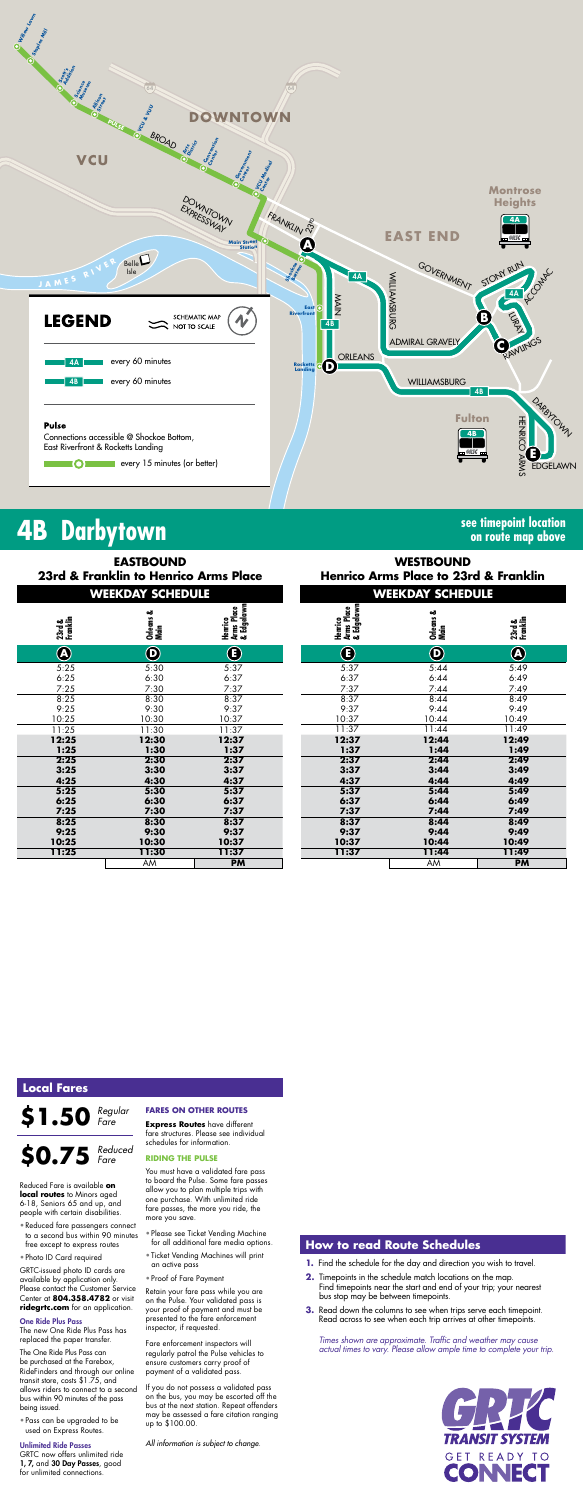

| ---<br>ы<br>ΑM<br>AM. |    |  |
|-----------------------|----|--|
|                       |    |  |
|                       | ти |  |

# **4B Darbytown see timepoint location**

# **on route map above**

*Times shown are approximate. Traffic and weather may cause actual times to vary. Please allow ample time to complete your trip.*



| <b>EASTBOUND</b><br>23rd & Franklin to Henrico Arms Place<br><b>WEEKDAY SCHEDULE</b> |                       |                                     | <b>WESTBOUND</b><br><b>Henrico Arms Place to 23rd &amp; Franl</b> |                         |                              |  |
|--------------------------------------------------------------------------------------|-----------------------|-------------------------------------|-------------------------------------------------------------------|-------------------------|------------------------------|--|
|                                                                                      |                       |                                     |                                                                   | <b>WEEKDAY SCHEDULE</b> |                              |  |
| 23rd &<br>Franklin                                                                   | ఱ<br>Orleans<br>Main  | Henrico<br>Arms Place<br>& Edgelawn | Henrico<br>Arms Place<br>& Edgelawn                               | Orleans &<br>Main       | 23rd &<br>Franklin           |  |
| $\bigcircledR$                                                                       | $\boldsymbol{\Theta}$ | $\bigcirc$                          | $\bf G$                                                           | $\boldsymbol{\Theta}$   | $\bigcirc\!\!\!\!\! \bullet$ |  |
| 5:25                                                                                 | 5:30                  | 5:37                                | 5:37                                                              | 5:44                    | 5:49                         |  |
| 6:25                                                                                 | 6:30                  | 6:37                                | 6:37                                                              | 6:44                    | 6:49                         |  |
| 7:25                                                                                 | 7:30                  | 7:37                                | 7:37                                                              | 7:44                    | 7:49                         |  |
| 8:25                                                                                 | 8:30                  | 8:37                                | 8:37                                                              | 8:44                    | 8:49                         |  |
| 9:25                                                                                 | 9:30                  | 9:37                                | 9:37                                                              | 9:44                    | 9:49                         |  |
| 10:25                                                                                | 10:30                 | 10:37                               | 10:37                                                             | 10:44                   | 10:49                        |  |
| 11:25                                                                                | 11:30                 | 11:37                               | 11:37                                                             | 11:44                   | 11:49                        |  |
| 12:25                                                                                | 12:30                 | 12:37                               | 12:37                                                             | 12:44                   | 12:49                        |  |
| 1:25                                                                                 | 1:30                  | 1:37                                | 1:37                                                              | 1:44                    | 1:49                         |  |
| 2:25                                                                                 | 2:30                  | 2:37                                | 2:37                                                              | 2:44                    | 2:49                         |  |
| 3:25                                                                                 | 3:30                  | 3:37                                | 3:37                                                              | 3:44                    | 3:49                         |  |
| 4:25                                                                                 | 4:30                  | 4:37                                | 4:37                                                              | 4:44                    | 4:49                         |  |
| 5:25                                                                                 | 5:30                  | 5:37                                | 5:37                                                              | 5:44                    | 5:49                         |  |
| 6:25                                                                                 | 6:30                  | 6:37                                | 6:37                                                              | 6:44                    | 6:49                         |  |
| 7:25                                                                                 | 7:30                  | 7:37                                | 7:37                                                              | 7:44                    | 7:49                         |  |
| 8:25                                                                                 | 8:30                  | 8:37                                | 8:37                                                              | 8:44                    | 8:49                         |  |
| 9:25                                                                                 | 9:30                  | 9:37                                | 9:37                                                              | 9:44                    | 9:49                         |  |
| 10:25                                                                                | 10:30                 | 10:37                               | 10:37                                                             | 10:44                   | 10:49                        |  |
| 11:25                                                                                | 11:30                 | 11:37                               | 11:37                                                             | 11:44                   | 11:49                        |  |

| <b>EASTBOUND</b><br>ranklin to Henrico Arms Place<br><b>WEEKDAY SCHEDULE</b> |                                     | <b>WESTBOUND</b><br><b>Henrico Arms Place to 23rd &amp; Franklin</b> |                            |                    |  |
|------------------------------------------------------------------------------|-------------------------------------|----------------------------------------------------------------------|----------------------------|--------------------|--|
|                                                                              |                                     |                                                                      | <b>WEEKDAY SCHEDULE</b>    |                    |  |
| ఱ<br>Orleans J<br>Main                                                       | Arms Place<br>& Edgelawn<br>Henrico | Arms Place<br>& Edgelawn<br>Henrico                                  | Orleans &<br>Main          | 23rd &<br>Franklin |  |
| $\boldsymbol{\Theta}$                                                        | $\bf{(f)}$                          | $\left( \mathbf{E}\right)$                                           | $\bf \bm{\mathrm{\Theta}}$ | $\bigcirc$         |  |
| 5:30                                                                         | 5:37                                | 5:37                                                                 | 5:44                       | 5:49               |  |
| 6:30                                                                         | 6:37                                | 6:37                                                                 | 6:44                       | 6:49               |  |
| 7:30                                                                         | 7:37                                | 7:37                                                                 | 7:44                       | 7:49               |  |
| 8:30                                                                         | 8:37                                | 8:37                                                                 | 8:44                       | 8:49               |  |
| 9:30                                                                         | 9:37                                | 9:37                                                                 | 9:44                       | 9:49               |  |
| 10:30                                                                        | 10:37                               | 10:37                                                                | 10:44                      | 10:49              |  |
| 11:30                                                                        | 11:37                               | 11:37                                                                | 11:44                      | 11:49              |  |
| 12:30                                                                        | 12:37                               | 12:37                                                                | 12:44                      | 12:49              |  |
| 1:30                                                                         | 1:37                                | 1:37                                                                 | 1:44                       | 1:49               |  |
| 2:30                                                                         | 2:37                                | 2:37                                                                 | 2:44                       | 2:49               |  |
| 3:30                                                                         | 3:37                                | 3:37                                                                 | 3:44                       | 3:49               |  |
| 4:30                                                                         | 4:37                                | 4:37                                                                 | 4:44                       | 4:49               |  |
| 5:30                                                                         | 5:37                                | 5:37                                                                 | 5:44                       | 5:49               |  |
| 6:30                                                                         | 6:37                                | 6:37                                                                 | 6:44                       | 6:49               |  |
| 7:30                                                                         | 7:37                                | 7:37                                                                 | 7:44                       | 7:49               |  |
| 8:30                                                                         | 8:37                                | 8:37                                                                 | 8:44                       | 8:49               |  |
| 9:30                                                                         | 9:37                                | 9:37                                                                 | 9:44                       | 9:49               |  |
| 10:30                                                                        | 10:37                               | 10:37                                                                | 10:44                      | 10:49              |  |
| 11:30                                                                        | 11:37                               | 11:37                                                                | 11:44                      | 11:49              |  |

### **How to read Route Schedules**

- **1.** Find the schedule for the day and direction you wish to travel.
- **2.** Timepoints in the schedule match locations on the map. Find timepoints near the start and end of your trip; your nearest bus stop may be between timepoints.
- **3.** Read down the columns to see when trips serve each timepoint. Read across to see when each trip arrives at other timepoints.

### **Local Fares**

**\$1.50 \$0.75** *Reduced Regular Fare*

Reduced Fare is available **on local routes** to Minors aged 6-18, Seniors 65 and up, and people with certain disabilities.

- Reduced fare passengers connect to a second bus within 90 minutes free except to express routes
- Photo ID Card required

GRTC-issued photo ID cards are available by application only. Please contact the Customer Service Center at **804.358.4782** or visit **ridegrtc.com** for an application.

#### One Ride Plus Pass

The new One Ride Plus Pass has replaced the paper transfer.

The One Ride Plus Pass can be purchased at the Farebox, RideFinders and through our online transit store, costs \$1.75, and allows riders to connect to a second bus within 90 minutes of the pass being issued.

• Pass can be upgraded to be used on Express Routes.

#### Unlimited Ride Passes

GRTC now offers unlimited ride 1, 7, and 30 Day Passes, good for unlimited connections.

*Fare*

#### **FARES ON OTHER ROUTES**

**Express Routes** have different fare structures. Please see individual schedules for information.

#### **RIDING THE PULSE**

You must have a validated fare pass to board the Pulse. Some fare passes allow you to plan multiple trips with one purchase. With unlimited ride fare passes, the more you ride, the more you save.

- Please see Ticket Vending Machine for all additional fare media options.
- Ticket Vending Machines will print an active pass
- Proof of Fare Payment

Retain your fare pass while you are on the Pulse. Your validated pass is your proof of payment and must be presented to the fare enforcement inspector, if requested.

Fare enforcement inspectors will regularly patrol the Pulse vehicles to ensure customers carry proof of payment of a validated pass.

If you do not possess a validated pass on the bus, you may be escorted off the bus at the next station. Repeat offenders may be assessed a fare citation ranging up to \$100.00.

*All information is subject to change.*